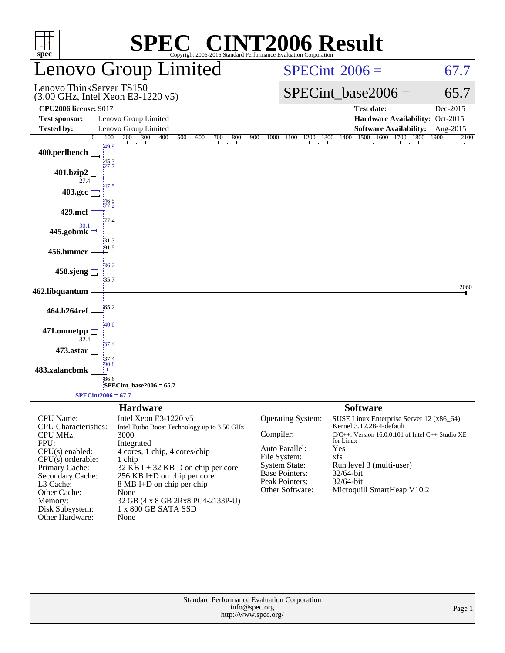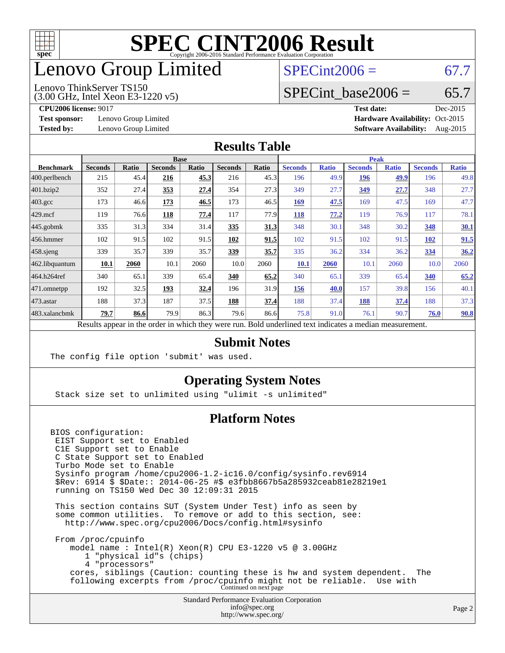

### enovo Group Limited

### $SPECint2006 = 67.7$  $SPECint2006 = 67.7$

(3.00 GHz, Intel Xeon E3-1220 v5) Lenovo ThinkServer TS150

SPECint base2006 =  $65.7$ 

**[Test sponsor:](http://www.spec.org/auto/cpu2006/Docs/result-fields.html#Testsponsor)** Lenovo Group Limited **[Hardware Availability:](http://www.spec.org/auto/cpu2006/Docs/result-fields.html#HardwareAvailability)** Oct-2015

**[CPU2006 license:](http://www.spec.org/auto/cpu2006/Docs/result-fields.html#CPU2006license)** 9017 **[Test date:](http://www.spec.org/auto/cpu2006/Docs/result-fields.html#Testdate)** Dec-2015 **[Tested by:](http://www.spec.org/auto/cpu2006/Docs/result-fields.html#Testedby)** Lenovo Group Limited **[Software Availability:](http://www.spec.org/auto/cpu2006/Docs/result-fields.html#SoftwareAvailability)** Aug-2015

### **[Results Table](http://www.spec.org/auto/cpu2006/Docs/result-fields.html#ResultsTable)**

|                                                                                                          |                | <b>Base</b>  |                | <b>Peak</b>  |                |              |                |              |                |              |                |              |
|----------------------------------------------------------------------------------------------------------|----------------|--------------|----------------|--------------|----------------|--------------|----------------|--------------|----------------|--------------|----------------|--------------|
| <b>Benchmark</b>                                                                                         | <b>Seconds</b> | <b>Ratio</b> | <b>Seconds</b> | <b>Ratio</b> | <b>Seconds</b> | <b>Ratio</b> | <b>Seconds</b> | <b>Ratio</b> | <b>Seconds</b> | <b>Ratio</b> | <b>Seconds</b> | <b>Ratio</b> |
| $ 400$ .perlbench                                                                                        | 215            | 45.4         | 216            | 45.3         | 216            | 45.3         | 196            | 49.9         | 196            | 49.9         | 196            | 49.8         |
| 401.bzip2                                                                                                | 352            | 27.4         | 353            | 27.4         | 354            | 27.3         | 349            | 27.7         | <u>349</u>     | 27.7         | 348            | 27.7         |
| $403.\text{gcc}$                                                                                         | 173            | 46.6         | 173            | 46.5         | 173            | 46.5         | 169            | 47.5         | 169            | 47.5         | 169            | 47.7         |
| $429$ mcf                                                                                                | 119            | 76.6         | 118            | 77.4         | 117            | 77.9         | 118            | 77.2         | 119            | 76.9         | 117            | 78.1         |
| $445$ .gobmk                                                                                             | 335            | 31.3         | 334            | 31.4         | 335            | 31.3         | 348            | 30.1         | 348            | 30.2         | 348            | 30.1         |
| 456.hmmer                                                                                                | 102            | 91.5         | 102            | 91.5         | 102            | 91.5         | 102            | 91.5         | 102            | 91.5         | <b>102</b>     | 91.5         |
| $458$ .sjeng                                                                                             | 339            | 35.7         | 339            | 35.7         | 339            | 35.7         | 335            | 36.2         | 334            | 36.2         | 334            | 36.2         |
| 462.libquantum                                                                                           | 10.1           | 2060         | 10.1           | 2060         | 10.0           | 2060         | 10.1           | 2060         | 10.1           | 2060         | 10.0           | 2060         |
| 464.h264ref                                                                                              | 340            | 65.1         | 339            | 65.4         | 340            | 65.2         | 340            | 65.1         | 339            | 65.4         | 340            | 65.2         |
| $ 471$ .omnetpp                                                                                          | 192            | 32.5         | 193            | 32.4         | 196            | 31.9         | 156            | 40.0         | 157            | 39.8         | 156            | 40.1         |
| $473$ . astar                                                                                            | 188            | 37.3         | 187            | 37.5         | 188            | 37.4         | 188            | 37.4         | 188            | 37.4         | 188            | 37.3         |
| 483.xalancbmk                                                                                            | 79.7           | 86.6         | 79.9           | 86.3         | 79.6           | 86.6         | 75.8           | 91.0         | 76.1           | 90.7         | 76.0           | 90.8         |
| Results appear in the order in which they were run. Bold underlined text indicates a median measurement. |                |              |                |              |                |              |                |              |                |              |                |              |

### **[Submit Notes](http://www.spec.org/auto/cpu2006/Docs/result-fields.html#SubmitNotes)**

The config file option 'submit' was used.

### **[Operating System Notes](http://www.spec.org/auto/cpu2006/Docs/result-fields.html#OperatingSystemNotes)**

Stack size set to unlimited using "ulimit -s unlimited"

### **[Platform Notes](http://www.spec.org/auto/cpu2006/Docs/result-fields.html#PlatformNotes)**

BIOS configuration: EIST Support set to Enabled C1E Support set to Enable C State Support set to Enabled Turbo Mode set to Enable Sysinfo program /home/cpu2006-1.2-ic16.0/config/sysinfo.rev6914 \$Rev: 6914 \$ \$Date:: 2014-06-25 #\$ e3fbb8667b5a285932ceab81e28219e1 running on TS150 Wed Dec 30 12:09:31 2015 This section contains SUT (System Under Test) info as seen by some common utilities. To remove or add to this section, see: <http://www.spec.org/cpu2006/Docs/config.html#sysinfo> From /proc/cpuinfo model name : Intel(R) Xeon(R) CPU E3-1220 v5 @ 3.00GHz 1 "physical id"s (chips) 4 "processors" cores, siblings (Caution: counting these is hw and system dependent. The following excerpts from /proc/cpuinfo might not be reliable. Use with Continued on next page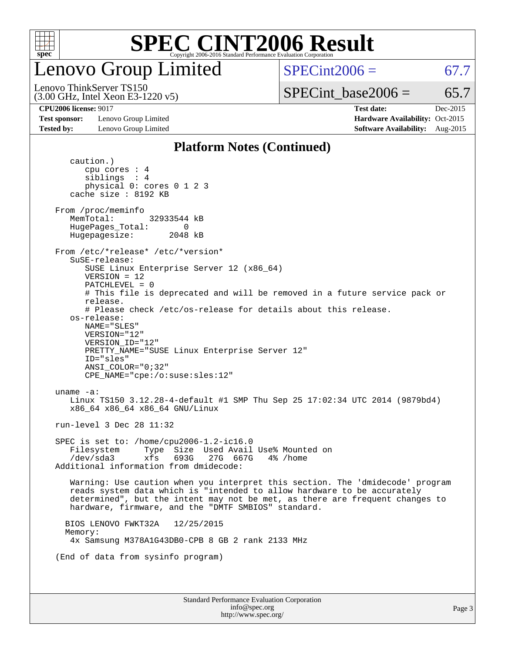

enovo Group Limited

 $SPECint2006 = 67.7$  $SPECint2006 = 67.7$ 

(3.00 GHz, Intel Xeon E3-1220 v5) Lenovo ThinkServer TS150

SPECint base2006 =  $65.7$ 

**[Test sponsor:](http://www.spec.org/auto/cpu2006/Docs/result-fields.html#Testsponsor)** Lenovo Group Limited **[Hardware Availability:](http://www.spec.org/auto/cpu2006/Docs/result-fields.html#HardwareAvailability)** Oct-2015

**[CPU2006 license:](http://www.spec.org/auto/cpu2006/Docs/result-fields.html#CPU2006license)** 9017 **[Test date:](http://www.spec.org/auto/cpu2006/Docs/result-fields.html#Testdate)** Dec-2015 **[Tested by:](http://www.spec.org/auto/cpu2006/Docs/result-fields.html#Testedby)** Lenovo Group Limited **[Software Availability:](http://www.spec.org/auto/cpu2006/Docs/result-fields.html#SoftwareAvailability)** Aug-2015

### **[Platform Notes \(Continued\)](http://www.spec.org/auto/cpu2006/Docs/result-fields.html#PlatformNotes)**

Standard Performance Evaluation Corporation [info@spec.org](mailto:info@spec.org) <http://www.spec.org/> Page 3 caution.) cpu cores : 4 siblings : 4 physical 0: cores 0 1 2 3 cache size : 8192 KB From /proc/meminfo MemTotal: 32933544 kB HugePages\_Total: 0<br>Hugepagesize: 2048 kB Hugepagesize: From /etc/\*release\* /etc/\*version\* SuSE-release: SUSE Linux Enterprise Server 12 (x86\_64) VERSION = 12 PATCHLEVEL = 0 # This file is deprecated and will be removed in a future service pack or release. # Please check /etc/os-release for details about this release. os-release: NAME="SLES" VERSION="12" VERSION\_ID="12" PRETTY\_NAME="SUSE Linux Enterprise Server 12" ID="sles" ANSI\_COLOR="0;32" CPE\_NAME="cpe:/o:suse:sles:12" uname -a: Linux TS150 3.12.28-4-default #1 SMP Thu Sep 25 17:02:34 UTC 2014 (9879bd4) x86\_64 x86\_64 x86\_64 GNU/Linux run-level 3 Dec 28 11:32 SPEC is set to: /home/cpu2006-1.2-ic16.0 Filesystem Type Size Used Avail Use% Mounted on /dev/sda3 xfs 693G 27G 667G 4% /home Additional information from dmidecode: Warning: Use caution when you interpret this section. The 'dmidecode' program reads system data which is "intended to allow hardware to be accurately determined", but the intent may not be met, as there are frequent changes to hardware, firmware, and the "DMTF SMBIOS" standard. BIOS LENOVO FWKT32A 12/25/2015 Memory: 4x Samsung M378A1G43DB0-CPB 8 GB 2 rank 2133 MHz (End of data from sysinfo program)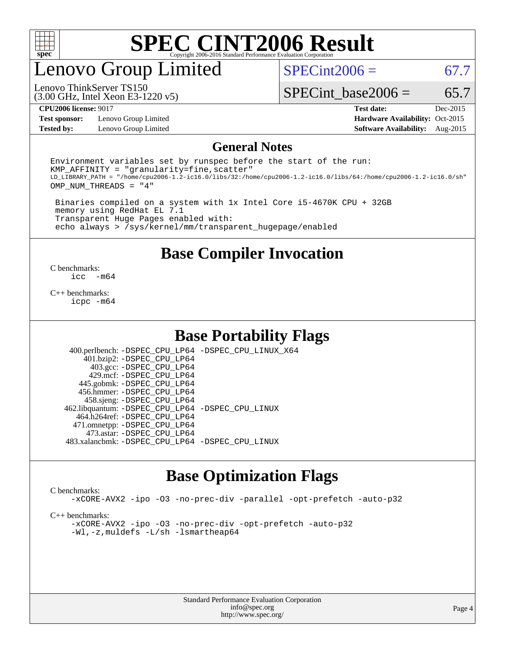

### enovo Group Limited

 $SPECint2006 = 67.7$  $SPECint2006 = 67.7$ 

(3.00 GHz, Intel Xeon E3-1220 v5) Lenovo ThinkServer TS150

SPECint base2006 =  $65.7$ 

**[Test sponsor:](http://www.spec.org/auto/cpu2006/Docs/result-fields.html#Testsponsor)** Lenovo Group Limited **[Hardware Availability:](http://www.spec.org/auto/cpu2006/Docs/result-fields.html#HardwareAvailability)** Oct-2015

**[CPU2006 license:](http://www.spec.org/auto/cpu2006/Docs/result-fields.html#CPU2006license)** 9017 **[Test date:](http://www.spec.org/auto/cpu2006/Docs/result-fields.html#Testdate)** Dec-2015 **[Tested by:](http://www.spec.org/auto/cpu2006/Docs/result-fields.html#Testedby)** Lenovo Group Limited **[Software Availability:](http://www.spec.org/auto/cpu2006/Docs/result-fields.html#SoftwareAvailability)** Aug-2015

### **[General Notes](http://www.spec.org/auto/cpu2006/Docs/result-fields.html#GeneralNotes)**

Environment variables set by runspec before the start of the run:  $KMP$  AFFINITY = "granularity=fine, scatter" LD\_LIBRARY\_PATH = "/home/cpu2006-1.2-ic16.0/libs/32:/home/cpu2006-1.2-ic16.0/libs/64:/home/cpu2006-1.2-ic16.0/sh" OMP\_NUM\_THREADS = "4"

 Binaries compiled on a system with 1x Intel Core i5-4670K CPU + 32GB memory using RedHat EL 7.1 Transparent Huge Pages enabled with: echo always > /sys/kernel/mm/transparent\_hugepage/enabled

**[Base Compiler Invocation](http://www.spec.org/auto/cpu2006/Docs/result-fields.html#BaseCompilerInvocation)**

 $\frac{C \text{ benchmarks:}}{C \text{ C}}$ -m64

[C++ benchmarks:](http://www.spec.org/auto/cpu2006/Docs/result-fields.html#CXXbenchmarks) [icpc -m64](http://www.spec.org/cpu2006/results/res2016q1/cpu2006-20160125-38850.flags.html#user_CXXbase_intel_icpc_64bit_fc66a5337ce925472a5c54ad6a0de310)

### **[Base Portability Flags](http://www.spec.org/auto/cpu2006/Docs/result-fields.html#BasePortabilityFlags)**

 400.perlbench: [-DSPEC\\_CPU\\_LP64](http://www.spec.org/cpu2006/results/res2016q1/cpu2006-20160125-38850.flags.html#b400.perlbench_basePORTABILITY_DSPEC_CPU_LP64) [-DSPEC\\_CPU\\_LINUX\\_X64](http://www.spec.org/cpu2006/results/res2016q1/cpu2006-20160125-38850.flags.html#b400.perlbench_baseCPORTABILITY_DSPEC_CPU_LINUX_X64) 401.bzip2: [-DSPEC\\_CPU\\_LP64](http://www.spec.org/cpu2006/results/res2016q1/cpu2006-20160125-38850.flags.html#suite_basePORTABILITY401_bzip2_DSPEC_CPU_LP64) 403.gcc: [-DSPEC\\_CPU\\_LP64](http://www.spec.org/cpu2006/results/res2016q1/cpu2006-20160125-38850.flags.html#suite_basePORTABILITY403_gcc_DSPEC_CPU_LP64) 429.mcf: [-DSPEC\\_CPU\\_LP64](http://www.spec.org/cpu2006/results/res2016q1/cpu2006-20160125-38850.flags.html#suite_basePORTABILITY429_mcf_DSPEC_CPU_LP64) 445.gobmk: [-DSPEC\\_CPU\\_LP64](http://www.spec.org/cpu2006/results/res2016q1/cpu2006-20160125-38850.flags.html#suite_basePORTABILITY445_gobmk_DSPEC_CPU_LP64) 456.hmmer: [-DSPEC\\_CPU\\_LP64](http://www.spec.org/cpu2006/results/res2016q1/cpu2006-20160125-38850.flags.html#suite_basePORTABILITY456_hmmer_DSPEC_CPU_LP64) 458.sjeng: [-DSPEC\\_CPU\\_LP64](http://www.spec.org/cpu2006/results/res2016q1/cpu2006-20160125-38850.flags.html#suite_basePORTABILITY458_sjeng_DSPEC_CPU_LP64) 462.libquantum: [-DSPEC\\_CPU\\_LP64](http://www.spec.org/cpu2006/results/res2016q1/cpu2006-20160125-38850.flags.html#suite_basePORTABILITY462_libquantum_DSPEC_CPU_LP64) [-DSPEC\\_CPU\\_LINUX](http://www.spec.org/cpu2006/results/res2016q1/cpu2006-20160125-38850.flags.html#b462.libquantum_baseCPORTABILITY_DSPEC_CPU_LINUX) 464.h264ref: [-DSPEC\\_CPU\\_LP64](http://www.spec.org/cpu2006/results/res2016q1/cpu2006-20160125-38850.flags.html#suite_basePORTABILITY464_h264ref_DSPEC_CPU_LP64) 471.omnetpp: [-DSPEC\\_CPU\\_LP64](http://www.spec.org/cpu2006/results/res2016q1/cpu2006-20160125-38850.flags.html#suite_basePORTABILITY471_omnetpp_DSPEC_CPU_LP64) 473.astar: [-DSPEC\\_CPU\\_LP64](http://www.spec.org/cpu2006/results/res2016q1/cpu2006-20160125-38850.flags.html#suite_basePORTABILITY473_astar_DSPEC_CPU_LP64) 483.xalancbmk: [-DSPEC\\_CPU\\_LP64](http://www.spec.org/cpu2006/results/res2016q1/cpu2006-20160125-38850.flags.html#suite_basePORTABILITY483_xalancbmk_DSPEC_CPU_LP64) [-DSPEC\\_CPU\\_LINUX](http://www.spec.org/cpu2006/results/res2016q1/cpu2006-20160125-38850.flags.html#b483.xalancbmk_baseCXXPORTABILITY_DSPEC_CPU_LINUX)

### **[Base Optimization Flags](http://www.spec.org/auto/cpu2006/Docs/result-fields.html#BaseOptimizationFlags)**

#### [C benchmarks](http://www.spec.org/auto/cpu2006/Docs/result-fields.html#Cbenchmarks):

[-xCORE-AVX2](http://www.spec.org/cpu2006/results/res2016q1/cpu2006-20160125-38850.flags.html#user_CCbase_f-xAVX2_5f5fc0cbe2c9f62c816d3e45806c70d7) [-ipo](http://www.spec.org/cpu2006/results/res2016q1/cpu2006-20160125-38850.flags.html#user_CCbase_f-ipo) [-O3](http://www.spec.org/cpu2006/results/res2016q1/cpu2006-20160125-38850.flags.html#user_CCbase_f-O3) [-no-prec-div](http://www.spec.org/cpu2006/results/res2016q1/cpu2006-20160125-38850.flags.html#user_CCbase_f-no-prec-div) [-parallel](http://www.spec.org/cpu2006/results/res2016q1/cpu2006-20160125-38850.flags.html#user_CCbase_f-parallel) [-opt-prefetch](http://www.spec.org/cpu2006/results/res2016q1/cpu2006-20160125-38850.flags.html#user_CCbase_f-opt-prefetch) [-auto-p32](http://www.spec.org/cpu2006/results/res2016q1/cpu2006-20160125-38850.flags.html#user_CCbase_f-auto-p32)

[C++ benchmarks:](http://www.spec.org/auto/cpu2006/Docs/result-fields.html#CXXbenchmarks)

[-xCORE-AVX2](http://www.spec.org/cpu2006/results/res2016q1/cpu2006-20160125-38850.flags.html#user_CXXbase_f-xAVX2_5f5fc0cbe2c9f62c816d3e45806c70d7) [-ipo](http://www.spec.org/cpu2006/results/res2016q1/cpu2006-20160125-38850.flags.html#user_CXXbase_f-ipo) [-O3](http://www.spec.org/cpu2006/results/res2016q1/cpu2006-20160125-38850.flags.html#user_CXXbase_f-O3) [-no-prec-div](http://www.spec.org/cpu2006/results/res2016q1/cpu2006-20160125-38850.flags.html#user_CXXbase_f-no-prec-div) [-opt-prefetch](http://www.spec.org/cpu2006/results/res2016q1/cpu2006-20160125-38850.flags.html#user_CXXbase_f-opt-prefetch) [-auto-p32](http://www.spec.org/cpu2006/results/res2016q1/cpu2006-20160125-38850.flags.html#user_CXXbase_f-auto-p32) [-Wl,-z,muldefs](http://www.spec.org/cpu2006/results/res2016q1/cpu2006-20160125-38850.flags.html#user_CXXbase_link_force_multiple1_74079c344b956b9658436fd1b6dd3a8a) [-L/sh -lsmartheap64](http://www.spec.org/cpu2006/results/res2016q1/cpu2006-20160125-38850.flags.html#user_CXXbase_SmartHeap64_ed4ef857ce90951921efb0d91eb88472)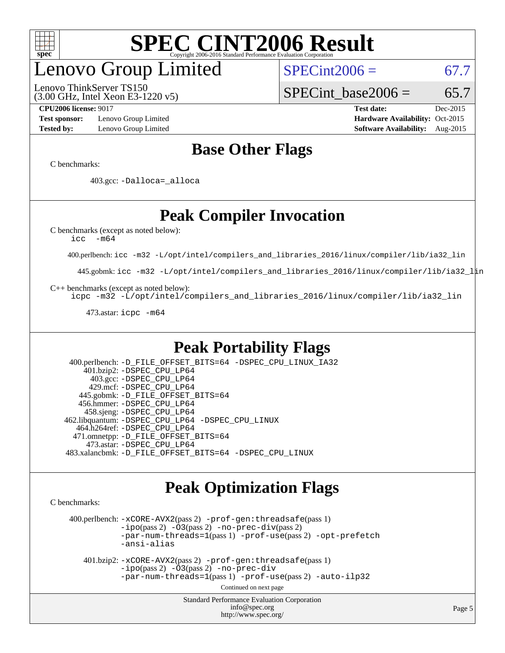

### enovo Group Limited

(3.00 GHz, Intel Xeon E3-1220 v5) Lenovo ThinkServer TS150

 $SPECint2006 = 67.7$  $SPECint2006 = 67.7$ 

SPECint base2006 =  $65.7$ 

**[Test sponsor:](http://www.spec.org/auto/cpu2006/Docs/result-fields.html#Testsponsor)** Lenovo Group Limited **[Hardware Availability:](http://www.spec.org/auto/cpu2006/Docs/result-fields.html#HardwareAvailability)** Oct-2015

**[CPU2006 license:](http://www.spec.org/auto/cpu2006/Docs/result-fields.html#CPU2006license)** 9017 **[Test date:](http://www.spec.org/auto/cpu2006/Docs/result-fields.html#Testdate)** Dec-2015 **[Tested by:](http://www.spec.org/auto/cpu2006/Docs/result-fields.html#Testedby)** Lenovo Group Limited **[Software Availability:](http://www.spec.org/auto/cpu2006/Docs/result-fields.html#SoftwareAvailability)** Aug-2015

### **[Base Other Flags](http://www.spec.org/auto/cpu2006/Docs/result-fields.html#BaseOtherFlags)**

[C benchmarks](http://www.spec.org/auto/cpu2006/Docs/result-fields.html#Cbenchmarks):

403.gcc: [-Dalloca=\\_alloca](http://www.spec.org/cpu2006/results/res2016q1/cpu2006-20160125-38850.flags.html#b403.gcc_baseEXTRA_CFLAGS_Dalloca_be3056838c12de2578596ca5467af7f3)

### **[Peak Compiler Invocation](http://www.spec.org/auto/cpu2006/Docs/result-fields.html#PeakCompilerInvocation)**

[C benchmarks \(except as noted below\)](http://www.spec.org/auto/cpu2006/Docs/result-fields.html#Cbenchmarksexceptasnotedbelow):

[icc -m64](http://www.spec.org/cpu2006/results/res2016q1/cpu2006-20160125-38850.flags.html#user_CCpeak_intel_icc_64bit_f346026e86af2a669e726fe758c88044)

400.perlbench: [icc -m32 -L/opt/intel/compilers\\_and\\_libraries\\_2016/linux/compiler/lib/ia32\\_lin](http://www.spec.org/cpu2006/results/res2016q1/cpu2006-20160125-38850.flags.html#user_peakCCLD400_perlbench_intel_icc_e10256ba5924b668798078a321b0cb3f)

445.gobmk: [icc -m32 -L/opt/intel/compilers\\_and\\_libraries\\_2016/linux/compiler/lib/ia32\\_lin](http://www.spec.org/cpu2006/results/res2016q1/cpu2006-20160125-38850.flags.html#user_peakCCLD445_gobmk_intel_icc_e10256ba5924b668798078a321b0cb3f)

[C++ benchmarks \(except as noted below\):](http://www.spec.org/auto/cpu2006/Docs/result-fields.html#CXXbenchmarksexceptasnotedbelow)

[icpc -m32 -L/opt/intel/compilers\\_and\\_libraries\\_2016/linux/compiler/lib/ia32\\_lin](http://www.spec.org/cpu2006/results/res2016q1/cpu2006-20160125-38850.flags.html#user_CXXpeak_intel_icpc_b4f50a394bdb4597aa5879c16bc3f5c5)

473.astar: [icpc -m64](http://www.spec.org/cpu2006/results/res2016q1/cpu2006-20160125-38850.flags.html#user_peakCXXLD473_astar_intel_icpc_64bit_fc66a5337ce925472a5c54ad6a0de310)

### **[Peak Portability Flags](http://www.spec.org/auto/cpu2006/Docs/result-fields.html#PeakPortabilityFlags)**

 400.perlbench: [-D\\_FILE\\_OFFSET\\_BITS=64](http://www.spec.org/cpu2006/results/res2016q1/cpu2006-20160125-38850.flags.html#user_peakPORTABILITY400_perlbench_file_offset_bits_64_438cf9856305ebd76870a2c6dc2689ab) [-DSPEC\\_CPU\\_LINUX\\_IA32](http://www.spec.org/cpu2006/results/res2016q1/cpu2006-20160125-38850.flags.html#b400.perlbench_peakCPORTABILITY_DSPEC_CPU_LINUX_IA32) 401.bzip2: [-DSPEC\\_CPU\\_LP64](http://www.spec.org/cpu2006/results/res2016q1/cpu2006-20160125-38850.flags.html#suite_peakPORTABILITY401_bzip2_DSPEC_CPU_LP64) 403.gcc: [-DSPEC\\_CPU\\_LP64](http://www.spec.org/cpu2006/results/res2016q1/cpu2006-20160125-38850.flags.html#suite_peakPORTABILITY403_gcc_DSPEC_CPU_LP64) 429.mcf: [-DSPEC\\_CPU\\_LP64](http://www.spec.org/cpu2006/results/res2016q1/cpu2006-20160125-38850.flags.html#suite_peakPORTABILITY429_mcf_DSPEC_CPU_LP64) 445.gobmk: [-D\\_FILE\\_OFFSET\\_BITS=64](http://www.spec.org/cpu2006/results/res2016q1/cpu2006-20160125-38850.flags.html#user_peakPORTABILITY445_gobmk_file_offset_bits_64_438cf9856305ebd76870a2c6dc2689ab) 456.hmmer: [-DSPEC\\_CPU\\_LP64](http://www.spec.org/cpu2006/results/res2016q1/cpu2006-20160125-38850.flags.html#suite_peakPORTABILITY456_hmmer_DSPEC_CPU_LP64) 458.sjeng: [-DSPEC\\_CPU\\_LP64](http://www.spec.org/cpu2006/results/res2016q1/cpu2006-20160125-38850.flags.html#suite_peakPORTABILITY458_sjeng_DSPEC_CPU_LP64) 462.libquantum: [-DSPEC\\_CPU\\_LP64](http://www.spec.org/cpu2006/results/res2016q1/cpu2006-20160125-38850.flags.html#suite_peakPORTABILITY462_libquantum_DSPEC_CPU_LP64) [-DSPEC\\_CPU\\_LINUX](http://www.spec.org/cpu2006/results/res2016q1/cpu2006-20160125-38850.flags.html#b462.libquantum_peakCPORTABILITY_DSPEC_CPU_LINUX) 464.h264ref: [-DSPEC\\_CPU\\_LP64](http://www.spec.org/cpu2006/results/res2016q1/cpu2006-20160125-38850.flags.html#suite_peakPORTABILITY464_h264ref_DSPEC_CPU_LP64) 471.omnetpp: [-D\\_FILE\\_OFFSET\\_BITS=64](http://www.spec.org/cpu2006/results/res2016q1/cpu2006-20160125-38850.flags.html#user_peakPORTABILITY471_omnetpp_file_offset_bits_64_438cf9856305ebd76870a2c6dc2689ab) 473.astar: [-DSPEC\\_CPU\\_LP64](http://www.spec.org/cpu2006/results/res2016q1/cpu2006-20160125-38850.flags.html#suite_peakPORTABILITY473_astar_DSPEC_CPU_LP64) 483.xalancbmk: [-D\\_FILE\\_OFFSET\\_BITS=64](http://www.spec.org/cpu2006/results/res2016q1/cpu2006-20160125-38850.flags.html#user_peakPORTABILITY483_xalancbmk_file_offset_bits_64_438cf9856305ebd76870a2c6dc2689ab) [-DSPEC\\_CPU\\_LINUX](http://www.spec.org/cpu2006/results/res2016q1/cpu2006-20160125-38850.flags.html#b483.xalancbmk_peakCXXPORTABILITY_DSPEC_CPU_LINUX)

### **[Peak Optimization Flags](http://www.spec.org/auto/cpu2006/Docs/result-fields.html#PeakOptimizationFlags)**

[C benchmarks](http://www.spec.org/auto/cpu2006/Docs/result-fields.html#Cbenchmarks):

 400.perlbench: [-xCORE-AVX2](http://www.spec.org/cpu2006/results/res2016q1/cpu2006-20160125-38850.flags.html#user_peakPASS2_CFLAGSPASS2_LDCFLAGS400_perlbench_f-xAVX2_5f5fc0cbe2c9f62c816d3e45806c70d7)(pass 2) [-prof-gen:threadsafe](http://www.spec.org/cpu2006/results/res2016q1/cpu2006-20160125-38850.flags.html#user_peakPASS1_CFLAGSPASS1_LDCFLAGS400_perlbench_prof_gen_21a26eb79f378b550acd7bec9fe4467a)(pass 1)  $-i\text{po}(pass 2) -\tilde{O}3(pass 2)$  [-no-prec-div](http://www.spec.org/cpu2006/results/res2016q1/cpu2006-20160125-38850.flags.html#user_peakPASS2_CFLAGSPASS2_LDCFLAGS400_perlbench_f-no-prec-div)(pass 2) [-par-num-threads=1](http://www.spec.org/cpu2006/results/res2016q1/cpu2006-20160125-38850.flags.html#user_peakPASS1_CFLAGSPASS1_LDCFLAGS400_perlbench_par_num_threads_786a6ff141b4e9e90432e998842df6c2)(pass 1) [-prof-use](http://www.spec.org/cpu2006/results/res2016q1/cpu2006-20160125-38850.flags.html#user_peakPASS2_CFLAGSPASS2_LDCFLAGS400_perlbench_prof_use_bccf7792157ff70d64e32fe3e1250b55)(pass 2) [-opt-prefetch](http://www.spec.org/cpu2006/results/res2016q1/cpu2006-20160125-38850.flags.html#user_peakCOPTIMIZE400_perlbench_f-opt-prefetch) [-ansi-alias](http://www.spec.org/cpu2006/results/res2016q1/cpu2006-20160125-38850.flags.html#user_peakCOPTIMIZE400_perlbench_f-ansi-alias)

 401.bzip2: [-xCORE-AVX2](http://www.spec.org/cpu2006/results/res2016q1/cpu2006-20160125-38850.flags.html#user_peakPASS2_CFLAGSPASS2_LDCFLAGS401_bzip2_f-xAVX2_5f5fc0cbe2c9f62c816d3e45806c70d7)(pass 2) [-prof-gen:threadsafe](http://www.spec.org/cpu2006/results/res2016q1/cpu2006-20160125-38850.flags.html#user_peakPASS1_CFLAGSPASS1_LDCFLAGS401_bzip2_prof_gen_21a26eb79f378b550acd7bec9fe4467a)(pass 1)  $-i\text{po}(pass 2) -\overline{O}3(pass 2)$  [-no-prec-div](http://www.spec.org/cpu2006/results/res2016q1/cpu2006-20160125-38850.flags.html#user_peakCOPTIMIZEPASS2_CFLAGSPASS2_LDCFLAGS401_bzip2_f-no-prec-div) [-par-num-threads=1](http://www.spec.org/cpu2006/results/res2016q1/cpu2006-20160125-38850.flags.html#user_peakPASS1_CFLAGSPASS1_LDCFLAGS401_bzip2_par_num_threads_786a6ff141b4e9e90432e998842df6c2)(pass 1) [-prof-use](http://www.spec.org/cpu2006/results/res2016q1/cpu2006-20160125-38850.flags.html#user_peakPASS2_CFLAGSPASS2_LDCFLAGS401_bzip2_prof_use_bccf7792157ff70d64e32fe3e1250b55)(pass 2) [-auto-ilp32](http://www.spec.org/cpu2006/results/res2016q1/cpu2006-20160125-38850.flags.html#user_peakCOPTIMIZE401_bzip2_f-auto-ilp32)

Continued on next page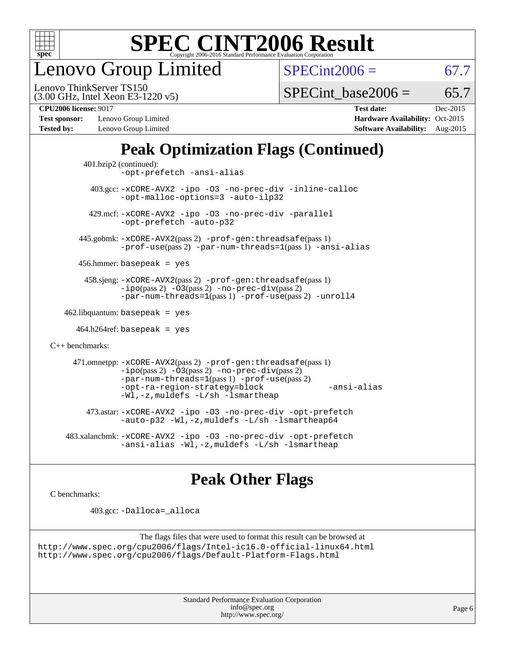

enovo Group Limited

 $SPECint2006 = 67.7$  $SPECint2006 = 67.7$ 

(3.00 GHz, Intel Xeon E3-1220 v5) Lenovo ThinkServer TS150

SPECint base2006 =  $65.7$ 

**[Test sponsor:](http://www.spec.org/auto/cpu2006/Docs/result-fields.html#Testsponsor)** Lenovo Group Limited **[Hardware Availability:](http://www.spec.org/auto/cpu2006/Docs/result-fields.html#HardwareAvailability)** Oct-2015 **[Tested by:](http://www.spec.org/auto/cpu2006/Docs/result-fields.html#Testedby)** Lenovo Group Limited **[Software Availability:](http://www.spec.org/auto/cpu2006/Docs/result-fields.html#SoftwareAvailability)** Aug-2015

**[CPU2006 license:](http://www.spec.org/auto/cpu2006/Docs/result-fields.html#CPU2006license)** 9017 **[Test date:](http://www.spec.org/auto/cpu2006/Docs/result-fields.html#Testdate)** Dec-2015

### **[Peak Optimization Flags \(Continued\)](http://www.spec.org/auto/cpu2006/Docs/result-fields.html#PeakOptimizationFlags)**

```
 401.bzip2 (continued):
                -opt-prefetch -ansi-alias
          403.gcc: -xCORE-AVX2 -ipo -O3 -no-prec-div -inline-calloc
                -opt-malloc-options=3 -auto-ilp32
         429.mcf: -xCORE-AVX2 -ipo -O3 -no-prec-div -parallel
                -opt-prefetch -auto-p32
       445.gobmk: -xCORE-AVX2(pass 2) -prof-gen:threadsafe(pass 1)
                -prof-use(pass 2) -par-num-threads=1(pass 1) -ansi-alias
       456.hmmer: basepeak = yes
        458.sjeng: -xCORE-AVX2(pass 2) -prof-gen:threadsafe(pass 1)
                -i\text{po}(pass 2) -\tilde{O}3(pass 2)-no-prec-div(pass 2)
                -par-num-threads=1(pass 1) -prof-use(pass 2) -unroll4
   462.libquantum: basepeak = yes
     464.h264ref: basepeak = yes
C++ benchmarks: 
      471.omnetpp: -xCORE-AVX2(pass 2) -prof-gen:threadsafe(pass 1)
                -i\text{po}(pass 2) -\overline{O}3(pass 2) -no-\overline{prec}\-div(pass 2)-par-num-threads=1(pass 1) -prof-use(pass 2)
                -opt-ra-region-strategy=block -ansi-alias
                -Wl,-z,muldefs -L/sh -lsmartheap
         473.astar: -xCORE-AVX2 -ipo -O3 -no-prec-div -opt-prefetch
                -auto-p32 -Wl,-z,muldefs -L/sh -lsmartheap64
    483.xalancbmk: -xCORE-AVX2 -ipo -O3 -no-prec-div -opt-prefetch
                -ansi-alias -Wl,-z,muldefs -L/sh -lsmartheap
```
### **[Peak Other Flags](http://www.spec.org/auto/cpu2006/Docs/result-fields.html#PeakOtherFlags)**

[C benchmarks](http://www.spec.org/auto/cpu2006/Docs/result-fields.html#Cbenchmarks):

403.gcc: [-Dalloca=\\_alloca](http://www.spec.org/cpu2006/results/res2016q1/cpu2006-20160125-38850.flags.html#b403.gcc_peakEXTRA_CFLAGS_Dalloca_be3056838c12de2578596ca5467af7f3)

```
The flags files that were used to format this result can be browsed at
http://www.spec.org/cpu2006/flags/Intel-ic16.0-official-linux64.html
http://www.spec.org/cpu2006/flags/Default-Platform-Flags.html
```